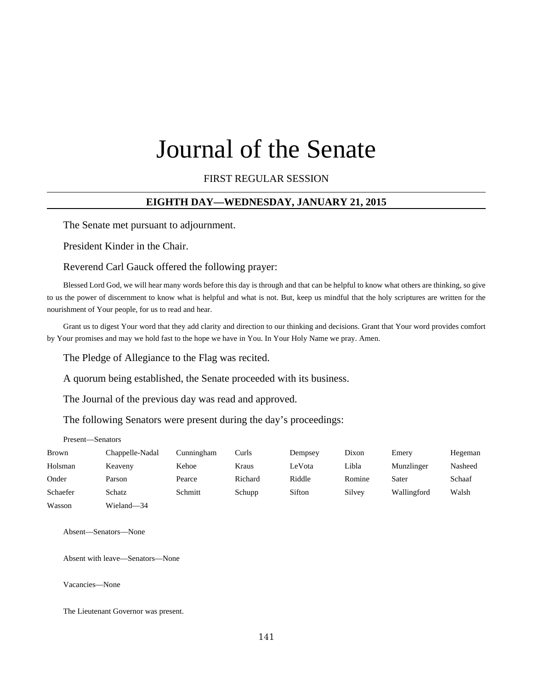# FIRST REGULAR SESSION

## **EIGHTH DAY—WEDNESDAY, JANUARY 21, 2015**

The Senate met pursuant to adjournment.

President Kinder in the Chair.

#### Reverend Carl Gauck offered the following prayer:

Blessed Lord God, we will hear many words before this day is through and that can be helpful to know what others are thinking, so give to us the power of discernment to know what is helpful and what is not. But, keep us mindful that the holy scriptures are written for the nourishment of Your people, for us to read and hear.

Grant us to digest Your word that they add clarity and direction to our thinking and decisions. Grant that Your word provides comfort by Your promises and may we hold fast to the hope we have in You. In Your Holy Name we pray. Amen.

The Pledge of Allegiance to the Flag was recited.

A quorum being established, the Senate proceeded with its business.

The Journal of the previous day was read and approved.

The following Senators were present during the day's proceedings:

#### Present—Senators

| Brown    | Chappelle-Nadal | Cunningham | Curls   | Dempsey | Dixon  | Emery       | Hegeman |
|----------|-----------------|------------|---------|---------|--------|-------------|---------|
| Holsman  | Keaveny         | Kehoe      | Kraus   | LeVota  | Libla  | Munzlinger  | Nasheed |
| Onder    | Parson          | Pearce     | Richard | Riddle  | Romine | Sater       | Schaaf  |
| Schaefer | Schatz          | Schmitt    | Schupp  | Sifton  | Silvey | Wallingford | Walsh   |
| Wasson   | Wieland-34      |            |         |         |        |             |         |

Absent—Senators—None

Absent with leave—Senators—None

Vacancies—None

The Lieutenant Governor was present.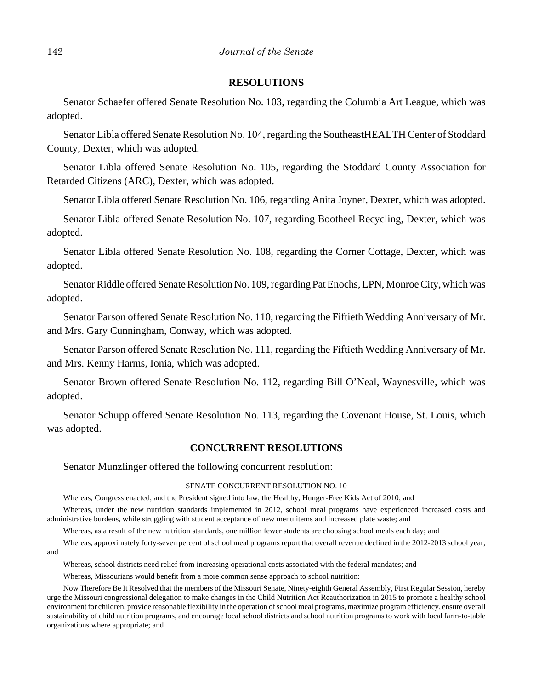## **RESOLUTIONS**

Senator Schaefer offered Senate Resolution No. 103, regarding the Columbia Art League, which was adopted.

Senator Libla offered Senate Resolution No. 104, regarding the SoutheastHEALTH Center of Stoddard County, Dexter, which was adopted.

Senator Libla offered Senate Resolution No. 105, regarding the Stoddard County Association for Retarded Citizens (ARC), Dexter, which was adopted.

Senator Libla offered Senate Resolution No. 106, regarding Anita Joyner, Dexter, which was adopted.

Senator Libla offered Senate Resolution No. 107, regarding Bootheel Recycling, Dexter, which was adopted.

Senator Libla offered Senate Resolution No. 108, regarding the Corner Cottage, Dexter, which was adopted.

Senator Riddle offered Senate Resolution No. 109, regarding Pat Enochs, LPN, Monroe City, which was adopted.

Senator Parson offered Senate Resolution No. 110, regarding the Fiftieth Wedding Anniversary of Mr. and Mrs. Gary Cunningham, Conway, which was adopted.

Senator Parson offered Senate Resolution No. 111, regarding the Fiftieth Wedding Anniversary of Mr. and Mrs. Kenny Harms, Ionia, which was adopted.

Senator Brown offered Senate Resolution No. 112, regarding Bill O'Neal, Waynesville, which was adopted.

Senator Schupp offered Senate Resolution No. 113, regarding the Covenant House, St. Louis, which was adopted.

## **CONCURRENT RESOLUTIONS**

Senator Munzlinger offered the following concurrent resolution:

#### SENATE CONCURRENT RESOLUTION NO. 10

Whereas, Congress enacted, and the President signed into law, the Healthy, Hunger-Free Kids Act of 2010; and

Whereas, under the new nutrition standards implemented in 2012, school meal programs have experienced increased costs and administrative burdens, while struggling with student acceptance of new menu items and increased plate waste; and

Whereas, as a result of the new nutrition standards, one million fewer students are choosing school meals each day; and

Whereas, approximately forty-seven percent of school meal programs report that overall revenue declined in the 2012-2013 school year; and

Whereas, school districts need relief from increasing operational costs associated with the federal mandates; and

Whereas, Missourians would benefit from a more common sense approach to school nutrition:

Now Therefore Be It Resolved that the members of the Missouri Senate, Ninety-eighth General Assembly, First Regular Session, hereby urge the Missouri congressional delegation to make changes in the Child Nutrition Act Reauthorization in 2015 to promote a healthy school environment for children, provide reasonable flexibility in the operation of school meal programs, maximize program efficiency, ensure overall sustainability of child nutrition programs, and encourage local school districts and school nutrition programs to work with local farm-to-table organizations where appropriate; and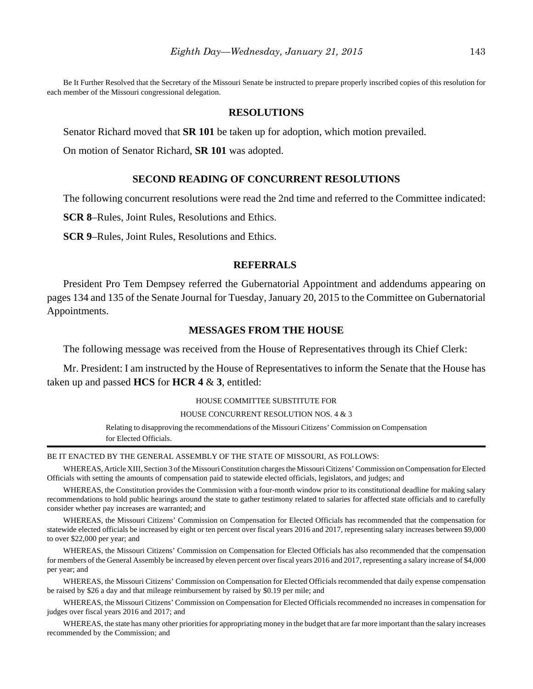Be It Further Resolved that the Secretary of the Missouri Senate be instructed to prepare properly inscribed copies of this resolution for each member of the Missouri congressional delegation.

## **RESOLUTIONS**

Senator Richard moved that **SR 101** be taken up for adoption, which motion prevailed.

On motion of Senator Richard, **SR 101** was adopted.

## **SECOND READING OF CONCURRENT RESOLUTIONS**

The following concurrent resolutions were read the 2nd time and referred to the Committee indicated:

**SCR 8**–Rules, Joint Rules, Resolutions and Ethics.

**SCR 9**–Rules, Joint Rules, Resolutions and Ethics.

#### **REFERRALS**

President Pro Tem Dempsey referred the Gubernatorial Appointment and addendums appearing on pages 134 and 135 of the Senate Journal for Tuesday, January 20, 2015 to the Committee on Gubernatorial Appointments.

# **MESSAGES FROM THE HOUSE**

The following message was received from the House of Representatives through its Chief Clerk:

Mr. President: I am instructed by the House of Representatives to inform the Senate that the House has taken up and passed **HCS** for **HCR 4** & **3**, entitled:

#### HOUSE COMMITTEE SUBSTITUTE FOR

#### HOUSE CONCURRENT RESOLUTION NOS. 4 & 3

Relating to disapproving the recommendations of the Missouri Citizens' Commission on Compensation for Elected Officials.

#### BE IT ENACTED BY THE GENERAL ASSEMBLY OF THE STATE OF MISSOURI, AS FOLLOWS:

WHEREAS, Article XIII, Section 3 of the Missouri Constitution charges the Missouri Citizens' Commission on Compensation for Elected Officials with setting the amounts of compensation paid to statewide elected officials, legislators, and judges; and

WHEREAS, the Constitution provides the Commission with a four-month window prior to its constitutional deadline for making salary recommendations to hold public hearings around the state to gather testimony related to salaries for affected state officials and to carefully consider whether pay increases are warranted; and

WHEREAS, the Missouri Citizens' Commission on Compensation for Elected Officials has recommended that the compensation for statewide elected officials be increased by eight or ten percent over fiscal years 2016 and 2017, representing salary increases between \$9,000 to over \$22,000 per year; and

WHEREAS, the Missouri Citizens' Commission on Compensation for Elected Officials has also recommended that the compensation for members of the General Assembly be increased by eleven percent over fiscal years 2016 and 2017, representing a salary increase of \$4,000 per year; and

WHEREAS, the Missouri Citizens' Commission on Compensation for Elected Officials recommended that daily expense compensation be raised by \$26 a day and that mileage reimbursement by raised by \$0.19 per mile; and

WHEREAS, the Missouri Citizens' Commission on Compensation for Elected Officials recommended no increases in compensation for judges over fiscal years 2016 and 2017; and

WHEREAS, the state has many other priorities for appropriating money in the budget that are far more important than the salary increases recommended by the Commission; and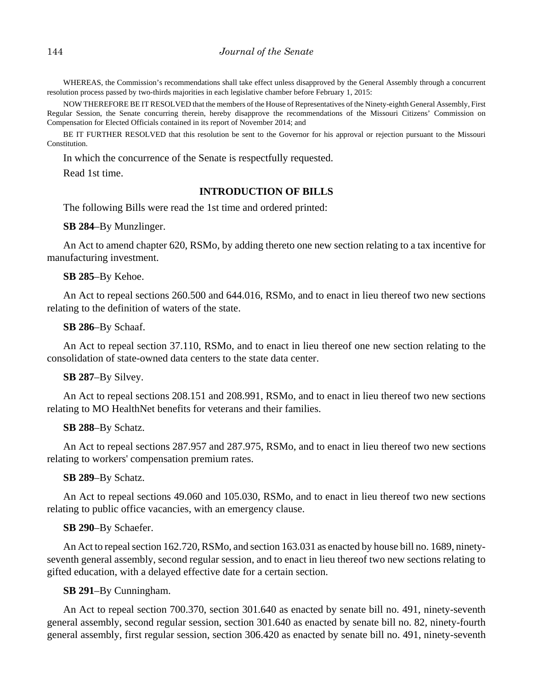WHEREAS, the Commission's recommendations shall take effect unless disapproved by the General Assembly through a concurrent resolution process passed by two-thirds majorities in each legislative chamber before February 1, 2015:

NOW THEREFORE BE IT RESOLVED that the members of the House of Representatives of the Ninety-eighth General Assembly, First Regular Session, the Senate concurring therein, hereby disapprove the recommendations of the Missouri Citizens' Commission on Compensation for Elected Officials contained in its report of November 2014; and

BE IT FURTHER RESOLVED that this resolution be sent to the Governor for his approval or rejection pursuant to the Missouri Constitution.

In which the concurrence of the Senate is respectfully requested.

Read 1st time.

# **INTRODUCTION OF BILLS**

The following Bills were read the 1st time and ordered printed:

**SB 284**–By Munzlinger.

An Act to amend chapter 620, RSMo, by adding thereto one new section relating to a tax incentive for manufacturing investment.

#### **SB 285**–By Kehoe.

An Act to repeal sections 260.500 and 644.016, RSMo, and to enact in lieu thereof two new sections relating to the definition of waters of the state.

**SB 286**–By Schaaf.

An Act to repeal section 37.110, RSMo, and to enact in lieu thereof one new section relating to the consolidation of state-owned data centers to the state data center.

## **SB 287**–By Silvey.

An Act to repeal sections 208.151 and 208.991, RSMo, and to enact in lieu thereof two new sections relating to MO HealthNet benefits for veterans and their families.

#### **SB 288**–By Schatz.

An Act to repeal sections 287.957 and 287.975, RSMo, and to enact in lieu thereof two new sections relating to workers' compensation premium rates.

#### **SB 289**–By Schatz.

An Act to repeal sections 49.060 and 105.030, RSMo, and to enact in lieu thereof two new sections relating to public office vacancies, with an emergency clause.

#### **SB 290**–By Schaefer.

An Act to repeal section 162.720, RSMo, and section 163.031 as enacted by house bill no. 1689, ninetyseventh general assembly, second regular session, and to enact in lieu thereof two new sections relating to gifted education, with a delayed effective date for a certain section.

## **SB 291**–By Cunningham.

An Act to repeal section 700.370, section 301.640 as enacted by senate bill no. 491, ninety-seventh general assembly, second regular session, section 301.640 as enacted by senate bill no. 82, ninety-fourth general assembly, first regular session, section 306.420 as enacted by senate bill no. 491, ninety-seventh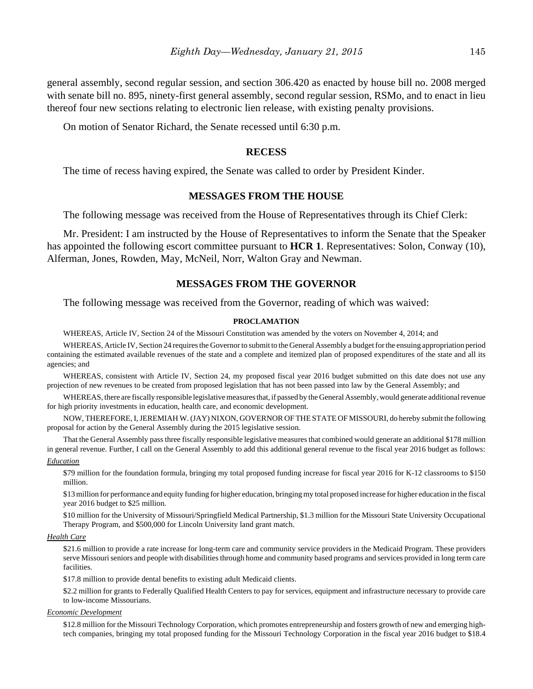general assembly, second regular session, and section 306.420 as enacted by house bill no. 2008 merged with senate bill no. 895, ninety-first general assembly, second regular session, RSMo, and to enact in lieu thereof four new sections relating to electronic lien release, with existing penalty provisions.

On motion of Senator Richard, the Senate recessed until 6:30 p.m.

#### **RECESS**

The time of recess having expired, the Senate was called to order by President Kinder.

## **MESSAGES FROM THE HOUSE**

The following message was received from the House of Representatives through its Chief Clerk:

Mr. President: I am instructed by the House of Representatives to inform the Senate that the Speaker has appointed the following escort committee pursuant to **HCR 1**. Representatives: Solon, Conway (10), Alferman, Jones, Rowden, May, McNeil, Norr, Walton Gray and Newman.

## **MESSAGES FROM THE GOVERNOR**

The following message was received from the Governor, reading of which was waived:

#### **PROCLAMATION**

WHEREAS, Article IV, Section 24 of the Missouri Constitution was amended by the voters on November 4, 2014; and

WHEREAS, Article IV, Section 24 requires the Governor to submit to the General Assembly a budget for the ensuing appropriation period containing the estimated available revenues of the state and a complete and itemized plan of proposed expenditures of the state and all its agencies; and

WHEREAS, consistent with Article IV, Section 24, my proposed fiscal year 2016 budget submitted on this date does not use any projection of new revenues to be created from proposed legislation that has not been passed into law by the General Assembly; and

WHEREAS, there are fiscally responsible legislative measures that, if passed by the General Assembly, would generate additional revenue for high priority investments in education, health care, and economic development.

NOW, THEREFORE, I, JEREMIAH W. (JAY) NIXON, GOVERNOR OF THE STATE OF MISSOURI, do hereby submit the following proposal for action by the General Assembly during the 2015 legislative session.

That the General Assembly pass three fiscally responsible legislative measures that combined would generate an additional \$178 million in general revenue. Further, I call on the General Assembly to add this additional general revenue to the fiscal year 2016 budget as follows: *Education*

\$79 million for the foundation formula, bringing my total proposed funding increase for fiscal year 2016 for K-12 classrooms to \$150 million.

\$13 million for performance and equity funding for higher education, bringing my total proposed increase for higher education in the fiscal year 2016 budget to \$25 million.

\$10 million for the University of Missouri/Springfield Medical Partnership, \$1.3 million for the Missouri State University Occupational Therapy Program, and \$500,000 for Lincoln University land grant match.

#### *Health Care*

\$21.6 million to provide a rate increase for long-term care and community service providers in the Medicaid Program. These providers serve Missouri seniors and people with disabilities through home and community based programs and services provided in long term care facilities.

\$17.8 million to provide dental benefits to existing adult Medicaid clients.

\$2.2 million for grants to Federally Qualified Health Centers to pay for services, equipment and infrastructure necessary to provide care to low-income Missourians.

#### *Economic Development*

\$12.8 million for the Missouri Technology Corporation, which promotes entrepreneurship and fosters growth of new and emerging hightech companies, bringing my total proposed funding for the Missouri Technology Corporation in the fiscal year 2016 budget to \$18.4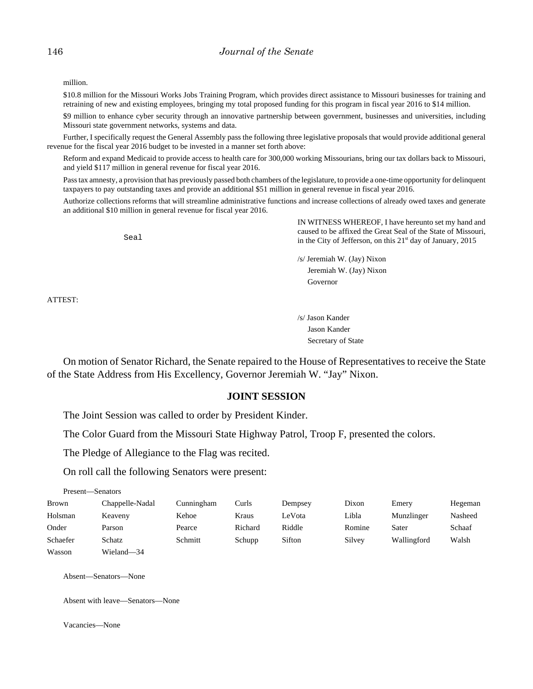million.

\$10.8 million for the Missouri Works Jobs Training Program, which provides direct assistance to Missouri businesses for training and retraining of new and existing employees, bringing my total proposed funding for this program in fiscal year 2016 to \$14 million.

\$9 million to enhance cyber security through an innovative partnership between government, businesses and universities, including Missouri state government networks, systems and data.

Further, I specifically request the General Assembly pass the following three legislative proposals that would provide additional general revenue for the fiscal year 2016 budget to be invested in a manner set forth above:

Reform and expand Medicaid to provide access to health care for 300,000 working Missourians, bring our tax dollars back to Missouri, and yield \$117 million in general revenue for fiscal year 2016.

Pass tax amnesty, a provision that has previously passed both chambers of the legislature, to provide a one-time opportunity for delinquent taxpayers to pay outstanding taxes and provide an additional \$51 million in general revenue in fiscal year 2016.

Authorize collections reforms that will streamline administrative functions and increase collections of already owed taxes and generate an additional \$10 million in general revenue for fiscal year 2016.

> IN WITNESS WHEREOF, I have hereunto set my hand and caused to be affixed the Great Seal of the State of Missouri, in the City of Jefferson, on this  $21<sup>st</sup>$  day of January, 2015

> > /s/ Jeremiah W. (Jay) Nixon Jeremiah W. (Jay) Nixon Governor

ATTEST:

/s/ Jason Kander Jason Kander Secretary of State

On motion of Senator Richard, the Senate repaired to the House of Representatives to receive the State of the State Address from His Excellency, Governor Jeremiah W. "Jay" Nixon.

## **JOINT SESSION**

The Joint Session was called to order by President Kinder.

The Color Guard from the Missouri State Highway Patrol, Troop F, presented the colors.

The Pledge of Allegiance to the Flag was recited.

Seal

On roll call the following Senators were present:

| Present-Senators |                 |            |         |         |        |             |         |
|------------------|-----------------|------------|---------|---------|--------|-------------|---------|
| <b>Brown</b>     | Chappelle-Nadal | Cunningham | Curls   | Dempsey | Dixon  | Emery       | Hegeman |
| Holsman          | Keaveny         | Kehoe      | Kraus   | LeVota  | Libla  | Munzlinger  | Nasheed |
| Onder            | Parson          | Pearce     | Richard | Riddle  | Romine | Sater       | Schaaf  |
| Schaefer         | Schatz          | Schmitt    | Schupp  | Sifton  | Silvey | Wallingford | Walsh   |
| Wasson           | Wieland-34      |            |         |         |        |             |         |

Absent—Senators—None

Absent with leave—Senators—None

Vacancies—None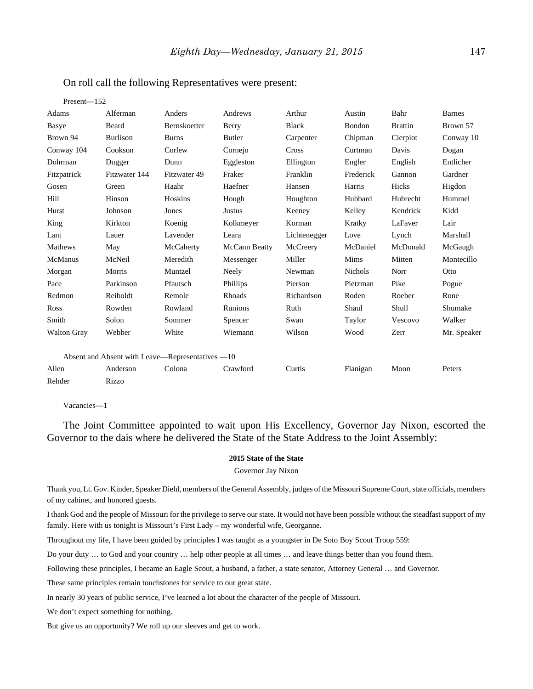| $Present - 152$                                  |                 |              |               |              |                |                |               |
|--------------------------------------------------|-----------------|--------------|---------------|--------------|----------------|----------------|---------------|
| Adams                                            | Alferman        | Anders       | Andrews       | Arthur       | Austin         | Bahr           | <b>Barnes</b> |
| Basye                                            | Beard           | Bernskoetter | Berry         | <b>Black</b> | Bondon         | <b>Brattin</b> | Brown 57      |
| Brown 94                                         | <b>Burlison</b> | <b>Burns</b> | Butler        | Carpenter    | Chipman        | Cierpiot       | Conway 10     |
| Conway 104                                       | Cookson         | Corlew       | Cornejo       | <b>Cross</b> | Curtman        | Davis          | Dogan         |
| Dohrman                                          | Dugger          | Dunn         | Eggleston     | Ellington    | Engler         | English        | Entlicher     |
| Fitzpatrick                                      | Fitzwater 144   | Fitzwater 49 | Fraker        | Franklin     | Frederick      | Gannon         | Gardner       |
| Gosen                                            | Green           | Haahr        | Haefner       | Hansen       | Harris         | Hicks          | Higdon        |
| Hill                                             | Hinson          | Hoskins      | Hough         | Houghton     | Hubbard        | Hubrecht       | Hummel        |
| Hurst                                            | Johnson         | Jones        | Justus        | Keeney       | Kelley         | Kendrick       | Kidd          |
| King                                             | Kirkton         | Koenig       | Kolkmeyer     | Korman       | Kratky         | LaFaver        | Lair          |
| Lant                                             | Lauer           | Lavender     | Leara         | Lichtenegger | Love           | Lynch          | Marshall      |
| Mathews                                          | May             | McCaherty    | McCann Beatty | McCreery     | McDaniel       | McDonald       | McGaugh       |
| <b>McManus</b>                                   | McNeil          | Meredith     | Messenger     | Miller       | Mims           | Mitten         | Montecillo    |
| Morgan                                           | Morris          | Muntzel      | Neely         | Newman       | <b>Nichols</b> | Norr           | Otto          |
| Pace                                             | Parkinson       | Pfautsch     | Phillips      | Pierson      | Pietzman       | Pike           | Pogue         |
| Redmon                                           | Reiboldt        | Remole       | Rhoads        | Richardson   | Roden          | Roeber         | Rone          |
| Ross                                             | Rowden          | Rowland      | Runions       | Ruth         | Shaul          | Shull          | Shumake       |
| Smith                                            | Solon           | Sommer       | Spencer       | Swan         | Taylor         | Vescovo        | Walker        |
| <b>Walton Gray</b>                               | Webber          | White        | Wiemann       | Wilson       | Wood           | Zerr           | Mr. Speaker   |
| Absent and Absent with Leave-Representatives -10 |                 |              |               |              |                |                |               |
| Allen                                            | Anderson        | Colona       | Crawford      | Curtis       | Flanigan       | Moon           | Peters        |
| Rehder                                           | <b>Rizzo</b>    |              |               |              |                |                |               |

## On roll call the following Representatives were present:

Vacancies—1

The Joint Committee appointed to wait upon His Excellency, Governor Jay Nixon, escorted the Governor to the dais where he delivered the State of the State Address to the Joint Assembly:

#### **2015 State of the State**

#### Governor Jay Nixon

Thank you, Lt. Gov. Kinder, Speaker Diehl, members of the General Assembly, judges of the Missouri Supreme Court, state officials, members of my cabinet, and honored guests.

I thank God and the people of Missouri for the privilege to serve our state. It would not have been possible without the steadfast support of my family. Here with us tonight is Missouri's First Lady – my wonderful wife, Georganne.

Throughout my life, I have been guided by principles I was taught as a youngster in De Soto Boy Scout Troop 559:

Do your duty … to God and your country … help other people at all times … and leave things better than you found them.

Following these principles, I became an Eagle Scout, a husband, a father, a state senator, Attorney General … and Governor.

These same principles remain touchstones for service to our great state.

In nearly 30 years of public service, I've learned a lot about the character of the people of Missouri.

We don't expect something for nothing.

But give us an opportunity? We roll up our sleeves and get to work.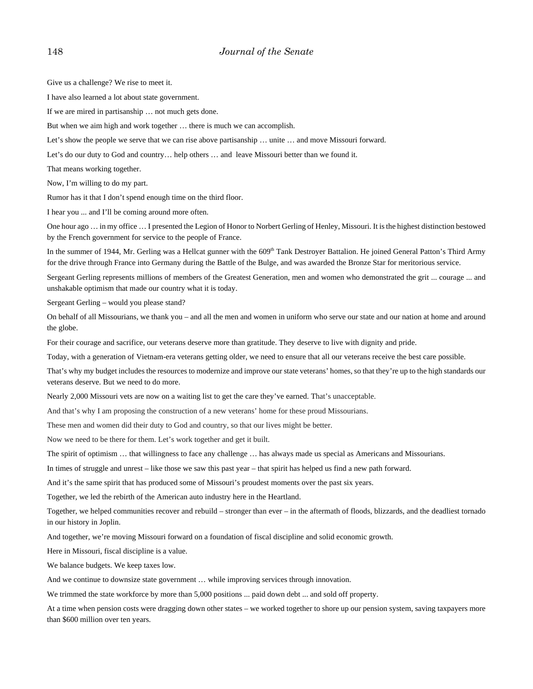Give us a challenge? We rise to meet it.

I have also learned a lot about state government.

If we are mired in partisanship … not much gets done.

But when we aim high and work together … there is much we can accomplish.

Let's show the people we serve that we can rise above partisanship ... unite ... and move Missouri forward.

Let's do our duty to God and country… help others … and leave Missouri better than we found it.

That means working together.

Now, I'm willing to do my part.

Rumor has it that I don't spend enough time on the third floor.

I hear you ... and I'll be coming around more often.

One hour ago … in my office … I presented the Legion of Honor to Norbert Gerling of Henley, Missouri. It is the highest distinction bestowed by the French government for service to the people of France.

In the summer of 1944, Mr. Gerling was a Hellcat gunner with the 609<sup>th</sup> Tank Destroyer Battalion. He joined General Patton's Third Army for the drive through France into Germany during the Battle of the Bulge, and was awarded the Bronze Star for meritorious service.

Sergeant Gerling represents millions of members of the Greatest Generation, men and women who demonstrated the grit ... courage ... and unshakable optimism that made our country what it is today.

Sergeant Gerling – would you please stand?

On behalf of all Missourians, we thank you – and all the men and women in uniform who serve our state and our nation at home and around the globe.

For their courage and sacrifice, our veterans deserve more than gratitude. They deserve to live with dignity and pride.

Today, with a generation of Vietnam-era veterans getting older, we need to ensure that all our veterans receive the best care possible.

That's why my budget includes the resources to modernize and improve our state veterans' homes, so that they're up to the high standards our veterans deserve. But we need to do more.

Nearly 2,000 Missouri vets are now on a waiting list to get the care they've earned. That's unacceptable.

And that's why I am proposing the construction of a new veterans' home for these proud Missourians.

These men and women did their duty to God and country, so that our lives might be better.

Now we need to be there for them. Let's work together and get it built.

The spirit of optimism … that willingness to face any challenge … has always made us special as Americans and Missourians.

In times of struggle and unrest – like those we saw this past year – that spirit has helped us find a new path forward.

And it's the same spirit that has produced some of Missouri's proudest moments over the past six years.

Together, we led the rebirth of the American auto industry here in the Heartland.

Together, we helped communities recover and rebuild – stronger than ever – in the aftermath of floods, blizzards, and the deadliest tornado in our history in Joplin.

And together, we're moving Missouri forward on a foundation of fiscal discipline and solid economic growth.

Here in Missouri, fiscal discipline is a value.

We balance budgets. We keep taxes low.

And we continue to downsize state government … while improving services through innovation.

We trimmed the state workforce by more than 5,000 positions ... paid down debt ... and sold off property.

At a time when pension costs were dragging down other states – we worked together to shore up our pension system, saving taxpayers more than \$600 million over ten years.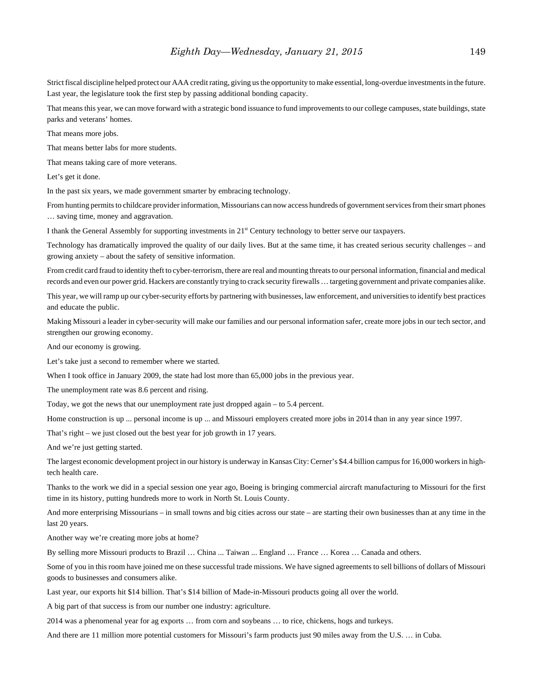Strict fiscal discipline helped protect our AAA credit rating, giving us the opportunity to make essential, long-overdue investments in the future. Last year, the legislature took the first step by passing additional bonding capacity.

That means this year, we can move forward with a strategic bond issuance to fund improvements to our college campuses, state buildings, state parks and veterans' homes.

That means more jobs.

That means better labs for more students.

That means taking care of more veterans.

Let's get it done.

In the past six years, we made government smarter by embracing technology.

From hunting permits to childcare provider information, Missourians can now access hundreds of government services from their smart phones … saving time, money and aggravation.

I thank the General Assembly for supporting investments in  $21<sup>st</sup>$  Century technology to better serve our taxpayers.

Technology has dramatically improved the quality of our daily lives. But at the same time, it has created serious security challenges – and growing anxiety – about the safety of sensitive information.

From credit card fraud to identity theft to cyber-terrorism, there are real and mounting threats to our personal information, financial and medical records and even our power grid. Hackers are constantly trying to crack security firewalls … targeting government and private companies alike.

This year, we will ramp up our cyber-security efforts by partnering with businesses, law enforcement, and universities to identify best practices and educate the public.

Making Missouri a leader in cyber-security will make our families and our personal information safer, create more jobs in our tech sector, and strengthen our growing economy.

And our economy is growing.

Let's take just a second to remember where we started.

When I took office in January 2009, the state had lost more than 65,000 jobs in the previous year.

The unemployment rate was 8.6 percent and rising.

Today, we got the news that our unemployment rate just dropped again – to 5.4 percent.

Home construction is up ... personal income is up ... and Missouri employers created more jobs in 2014 than in any year since 1997.

That's right – we just closed out the best year for job growth in 17 years.

And we're just getting started.

The largest economic development project in our history is underway in Kansas City: Cerner's \$4.4 billion campus for 16,000 workers in hightech health care.

Thanks to the work we did in a special session one year ago, Boeing is bringing commercial aircraft manufacturing to Missouri for the first time in its history, putting hundreds more to work in North St. Louis County.

And more enterprising Missourians – in small towns and big cities across our state – are starting their own businesses than at any time in the last 20 years.

Another way we're creating more jobs at home?

By selling more Missouri products to Brazil … China ... Taiwan ... England … France … Korea … Canada and others.

Some of you in this room have joined me on these successful trade missions. We have signed agreements to sell billions of dollars of Missouri goods to businesses and consumers alike.

Last year, our exports hit \$14 billion. That's \$14 billion of Made-in-Missouri products going all over the world.

A big part of that success is from our number one industry: agriculture.

2014 was a phenomenal year for ag exports … from corn and soybeans … to rice, chickens, hogs and turkeys.

And there are 11 million more potential customers for Missouri's farm products just 90 miles away from the U.S. … in Cuba.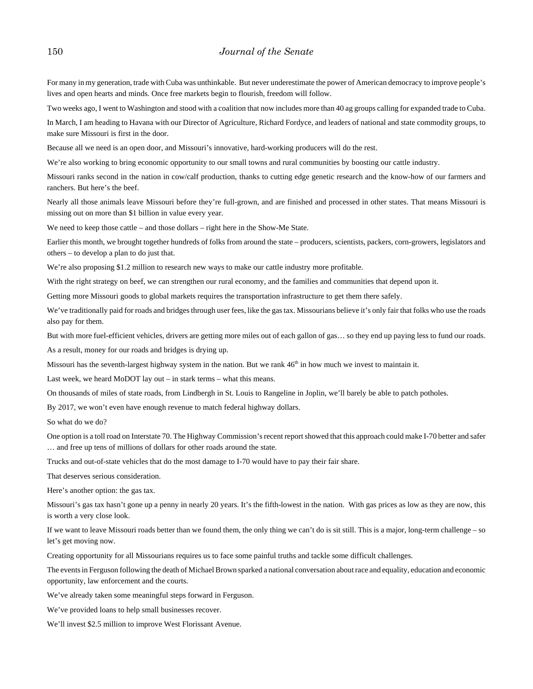For many in my generation, trade with Cuba was unthinkable. But never underestimate the power of American democracy to improve people's lives and open hearts and minds. Once free markets begin to flourish, freedom will follow.

Two weeks ago, I went to Washington and stood with a coalition that now includes more than 40 ag groups calling for expanded trade to Cuba.

In March, I am heading to Havana with our Director of Agriculture, Richard Fordyce, and leaders of national and state commodity groups, to make sure Missouri is first in the door.

Because all we need is an open door, and Missouri's innovative, hard-working producers will do the rest.

We're also working to bring economic opportunity to our small towns and rural communities by boosting our cattle industry.

Missouri ranks second in the nation in cow/calf production, thanks to cutting edge genetic research and the know-how of our farmers and ranchers. But here's the beef.

Nearly all those animals leave Missouri before they're full-grown, and are finished and processed in other states. That means Missouri is missing out on more than \$1 billion in value every year.

We need to keep those cattle – and those dollars – right here in the Show-Me State.

Earlier this month, we brought together hundreds of folks from around the state – producers, scientists, packers, corn-growers, legislators and others – to develop a plan to do just that.

We're also proposing \$1.2 million to research new ways to make our cattle industry more profitable.

With the right strategy on beef, we can strengthen our rural economy, and the families and communities that depend upon it.

Getting more Missouri goods to global markets requires the transportation infrastructure to get them there safely.

We've traditionally paid for roads and bridges through user fees, like the gas tax. Missourians believe it's only fair that folks who use the roads also pay for them.

But with more fuel-efficient vehicles, drivers are getting more miles out of each gallon of gas… so they end up paying less to fund our roads.

As a result, money for our roads and bridges is drying up.

Missouri has the seventh-largest highway system in the nation. But we rank  $46<sup>th</sup>$  in how much we invest to maintain it.

Last week, we heard MoDOT lay out – in stark terms – what this means.

On thousands of miles of state roads, from Lindbergh in St. Louis to Rangeline in Joplin, we'll barely be able to patch potholes.

By 2017, we won't even have enough revenue to match federal highway dollars.

So what do we do?

One option is a toll road on Interstate 70. The Highway Commission's recent report showed that this approach could make I-70 better and safer … and free up tens of millions of dollars for other roads around the state.

Trucks and out-of-state vehicles that do the most damage to I-70 would have to pay their fair share.

That deserves serious consideration.

Here's another option: the gas tax.

Missouri's gas tax hasn't gone up a penny in nearly 20 years. It's the fifth-lowest in the nation. With gas prices as low as they are now, this is worth a very close look.

If we want to leave Missouri roads better than we found them, the only thing we can't do is sit still. This is a major, long-term challenge – so let's get moving now.

Creating opportunity for all Missourians requires us to face some painful truths and tackle some difficult challenges.

The events in Ferguson following the death of Michael Brown sparked a national conversation about race and equality, education and economic opportunity, law enforcement and the courts.

We've already taken some meaningful steps forward in Ferguson.

We've provided loans to help small businesses recover.

We'll invest \$2.5 million to improve West Florissant Avenue.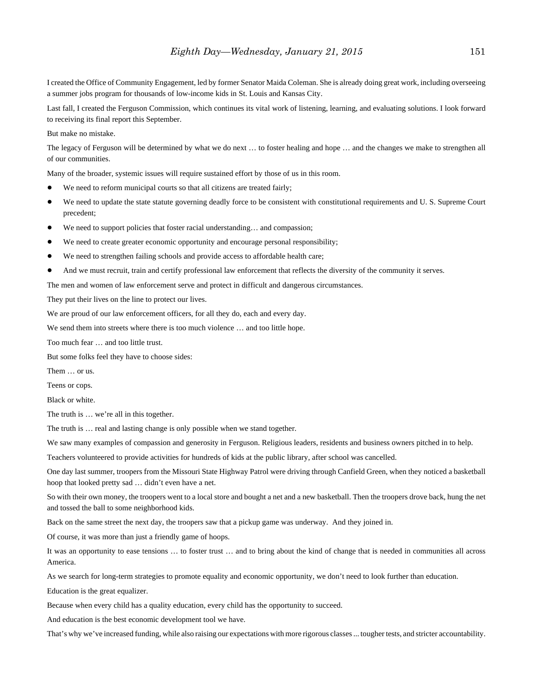I created the Office of Community Engagement, led by former Senator Maida Coleman. She is already doing great work, including overseeing a summer jobs program for thousands of low-income kids in St. Louis and Kansas City.

Last fall, I created the Ferguson Commission, which continues its vital work of listening, learning, and evaluating solutions. I look forward to receiving its final report this September.

But make no mistake.

The legacy of Ferguson will be determined by what we do next … to foster healing and hope … and the changes we make to strengthen all of our communities.

Many of the broader, systemic issues will require sustained effort by those of us in this room.

- We need to reform municipal courts so that all citizens are treated fairly;
- We need to update the state statute governing deadly force to be consistent with constitutional requirements and U. S. Supreme Court precedent;
- We need to support policies that foster racial understanding... and compassion;
- We need to create greater economic opportunity and encourage personal responsibility;
- We need to strengthen failing schools and provide access to affordable health care;
- And we must recruit, train and certify professional law enforcement that reflects the diversity of the community it serves.

The men and women of law enforcement serve and protect in difficult and dangerous circumstances.

They put their lives on the line to protect our lives.

We are proud of our law enforcement officers, for all they do, each and every day.

We send them into streets where there is too much violence ... and too little hope.

Too much fear … and too little trust.

But some folks feel they have to choose sides:

Them … or us.

Teens or cops.

Black or white.

The truth is … we're all in this together.

The truth is … real and lasting change is only possible when we stand together.

We saw many examples of compassion and generosity in Ferguson. Religious leaders, residents and business owners pitched in to help.

Teachers volunteered to provide activities for hundreds of kids at the public library, after school was cancelled.

One day last summer, troopers from the Missouri State Highway Patrol were driving through Canfield Green, when they noticed a basketball hoop that looked pretty sad … didn't even have a net.

So with their own money, the troopers went to a local store and bought a net and a new basketball. Then the troopers drove back, hung the net and tossed the ball to some neighborhood kids.

Back on the same street the next day, the troopers saw that a pickup game was underway. And they joined in.

Of course, it was more than just a friendly game of hoops.

It was an opportunity to ease tensions … to foster trust … and to bring about the kind of change that is needed in communities all across America.

As we search for long-term strategies to promote equality and economic opportunity, we don't need to look further than education.

Education is the great equalizer.

Because when every child has a quality education, every child has the opportunity to succeed.

And education is the best economic development tool we have.

That's why we've increased funding, while also raising our expectations with more rigorous classes ... tougher tests, and stricter accountability.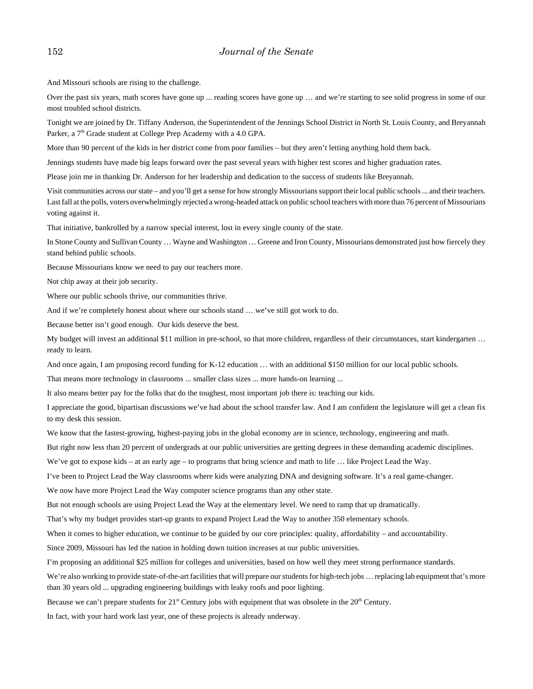And Missouri schools are rising to the challenge.

Over the past six years, math scores have gone up ... reading scores have gone up … and we're starting to see solid progress in some of our most troubled school districts.

Tonight we are joined by Dr. Tiffany Anderson, the Superintendent of the Jennings School District in North St. Louis County, and Breyannah Parker, a 7<sup>th</sup> Grade student at College Prep Academy with a 4.0 GPA.

More than 90 percent of the kids in her district come from poor families – but they aren't letting anything hold them back.

Jennings students have made big leaps forward over the past several years with higher test scores and higher graduation rates.

Please join me in thanking Dr. Anderson for her leadership and dedication to the success of students like Breyannah.

Visit communities across our state – and you'll get a sense for how strongly Missourians support their local public schools ... and their teachers. Last fall at the polls, voters overwhelmingly rejected a wrong-headed attack on public school teachers with more than 76 percent of Missourians voting against it.

That initiative, bankrolled by a narrow special interest, lost in every single county of the state.

In Stone County and Sullivan County … Wayne and Washington … Greene and Iron County, Missourians demonstrated just how fiercely they stand behind public schools.

Because Missourians know we need to pay our teachers more.

Not chip away at their job security.

Where our public schools thrive, our communities thrive.

And if we're completely honest about where our schools stand … we've still got work to do.

Because better isn't good enough. Our kids deserve the best.

My budget will invest an additional \$11 million in pre-school, so that more children, regardless of their circumstances, start kindergarten … ready to learn.

And once again, I am proposing record funding for K-12 education ... with an additional \$150 million for our local public schools.

That means more technology in classrooms ... smaller class sizes ... more hands-on learning ...

It also means better pay for the folks that do the toughest, most important job there is: teaching our kids.

I appreciate the good, bipartisan discussions we've had about the school transfer law. And I am confident the legislature will get a clean fix to my desk this session.

We know that the fastest-growing, highest-paying jobs in the global economy are in science, technology, engineering and math.

But right now less than 20 percent of undergrads at our public universities are getting degrees in these demanding academic disciplines.

We've got to expose kids – at an early age – to programs that bring science and math to life ... like Project Lead the Way.

I've been to Project Lead the Way classrooms where kids were analyzing DNA and designing software. It's a real game-changer.

We now have more Project Lead the Way computer science programs than any other state.

But not enough schools are using Project Lead the Way at the elementary level. We need to ramp that up dramatically.

That's why my budget provides start-up grants to expand Project Lead the Way to another 350 elementary schools.

When it comes to higher education, we continue to be guided by our core principles: quality, affordability – and accountability.

Since 2009, Missouri has led the nation in holding down tuition increases at our public universities.

I'm proposing an additional \$25 million for colleges and universities, based on how well they meet strong performance standards.

We're also working to provide state-of-the-art facilities that will prepare our students for high-tech jobs ... replacing lab equipment that's more than 30 years old ... upgrading engineering buildings with leaky roofs and poor lighting.

Because we can't prepare students for  $21<sup>st</sup>$  Century jobs with equipment that was obsolete in the  $20<sup>th</sup>$  Century.

In fact, with your hard work last year, one of these projects is already underway.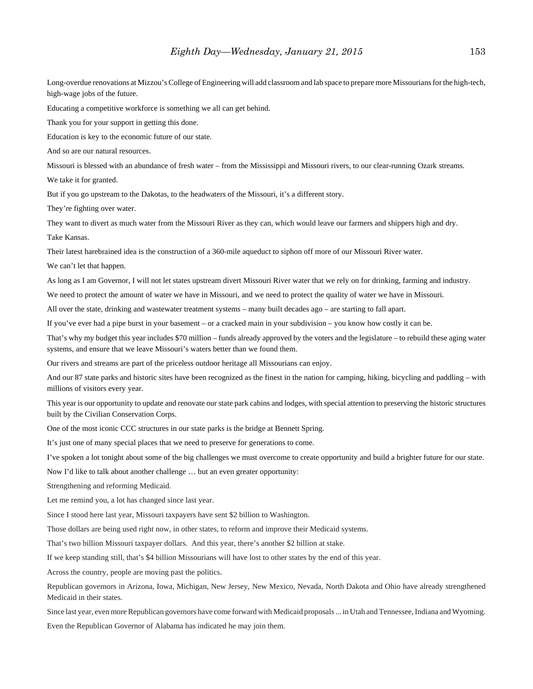Long-overdue renovations at Mizzou's College of Engineering will add classroom and lab space to prepare more Missourians for the high-tech, high-wage jobs of the future.

Educating a competitive workforce is something we all can get behind.

Thank you for your support in getting this done.

Education is key to the economic future of our state.

And so are our natural resources.

Missouri is blessed with an abundance of fresh water – from the Mississippi and Missouri rivers, to our clear-running Ozark streams.

We take it for granted.

But if you go upstream to the Dakotas, to the headwaters of the Missouri, it's a different story.

They're fighting over water.

They want to divert as much water from the Missouri River as they can, which would leave our farmers and shippers high and dry.

Take Kansas.

Their latest harebrained idea is the construction of a 360-mile aqueduct to siphon off more of our Missouri River water.

We can't let that happen.

As long as I am Governor, I will not let states upstream divert Missouri River water that we rely on for drinking, farming and industry.

We need to protect the amount of water we have in Missouri, and we need to protect the quality of water we have in Missouri.

All over the state, drinking and wastewater treatment systems – many built decades ago – are starting to fall apart.

If you've ever had a pipe burst in your basement – or a cracked main in your subdivision – you know how costly it can be.

That's why my budget this year includes \$70 million – funds already approved by the voters and the legislature – to rebuild these aging water systems, and ensure that we leave Missouri's waters better than we found them.

Our rivers and streams are part of the priceless outdoor heritage all Missourians can enjoy.

And our 87 state parks and historic sites have been recognized as the finest in the nation for camping, hiking, bicycling and paddling – with millions of visitors every year.

This year is our opportunity to update and renovate our state park cabins and lodges, with special attention to preserving the historic structures built by the Civilian Conservation Corps.

One of the most iconic CCC structures in our state parks is the bridge at Bennett Spring.

It's just one of many special places that we need to preserve for generations to come.

I've spoken a lot tonight about some of the big challenges we must overcome to create opportunity and build a brighter future for our state.

Now I'd like to talk about another challenge … but an even greater opportunity:

Strengthening and reforming Medicaid.

Let me remind you, a lot has changed since last year.

Since I stood here last year, Missouri taxpayers have sent \$2 billion to Washington.

Those dollars are being used right now, in other states, to reform and improve their Medicaid systems.

That's two billion Missouri taxpayer dollars. And this year, there's another \$2 billion at stake.

If we keep standing still, that's \$4 billion Missourians will have lost to other states by the end of this year.

Across the country, people are moving past the politics.

Republican governors in Arizona, Iowa, Michigan, New Jersey, New Mexico, Nevada, North Dakota and Ohio have already strengthened Medicaid in their states.

Since last year, even more Republican governors have come forward with Medicaid proposals ... in Utah and Tennessee, Indiana and Wyoming.

Even the Republican Governor of Alabama has indicated he may join them.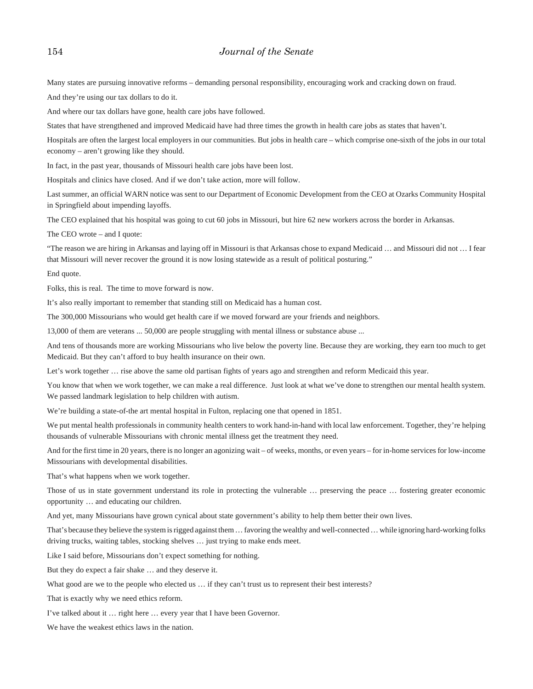Many states are pursuing innovative reforms – demanding personal responsibility, encouraging work and cracking down on fraud.

And they're using our tax dollars to do it.

And where our tax dollars have gone, health care jobs have followed.

States that have strengthened and improved Medicaid have had three times the growth in health care jobs as states that haven't.

Hospitals are often the largest local employers in our communities. But jobs in health care – which comprise one-sixth of the jobs in our total economy – aren't growing like they should.

In fact, in the past year, thousands of Missouri health care jobs have been lost.

Hospitals and clinics have closed. And if we don't take action, more will follow.

Last summer, an official WARN notice was sent to our Department of Economic Development from the CEO at Ozarks Community Hospital in Springfield about impending layoffs.

The CEO explained that his hospital was going to cut 60 jobs in Missouri, but hire 62 new workers across the border in Arkansas.

The CEO wrote – and I quote:

"The reason we are hiring in Arkansas and laying off in Missouri is that Arkansas chose to expand Medicaid … and Missouri did not … I fear that Missouri will never recover the ground it is now losing statewide as a result of political posturing."

End quote.

Folks, this is real. The time to move forward is now.

It's also really important to remember that standing still on Medicaid has a human cost.

The 300,000 Missourians who would get health care if we moved forward are your friends and neighbors.

13,000 of them are veterans ... 50,000 are people struggling with mental illness or substance abuse ...

And tens of thousands more are working Missourians who live below the poverty line. Because they are working, they earn too much to get Medicaid. But they can't afford to buy health insurance on their own.

Let's work together … rise above the same old partisan fights of years ago and strengthen and reform Medicaid this year.

You know that when we work together, we can make a real difference. Just look at what we've done to strengthen our mental health system. We passed landmark legislation to help children with autism.

We're building a state-of-the art mental hospital in Fulton, replacing one that opened in 1851.

We put mental health professionals in community health centers to work hand-in-hand with local law enforcement. Together, they're helping thousands of vulnerable Missourians with chronic mental illness get the treatment they need.

And for the first time in 20 years, there is no longer an agonizing wait – of weeks, months, or even years – for in-home services for low-income Missourians with developmental disabilities.

That's what happens when we work together.

Those of us in state government understand its role in protecting the vulnerable … preserving the peace … fostering greater economic opportunity … and educating our children.

And yet, many Missourians have grown cynical about state government's ability to help them better their own lives.

That's because they believe the system is rigged against them … favoring the wealthy and well-connected … while ignoring hard-working folks driving trucks, waiting tables, stocking shelves … just trying to make ends meet.

Like I said before, Missourians don't expect something for nothing.

But they do expect a fair shake … and they deserve it.

What good are we to the people who elected us ... if they can't trust us to represent their best interests?

That is exactly why we need ethics reform.

I've talked about it … right here … every year that I have been Governor.

We have the weakest ethics laws in the nation.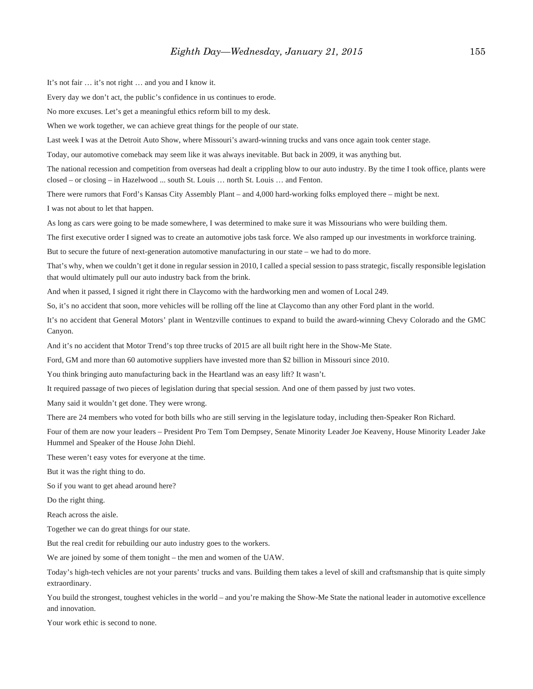It's not fair … it's not right … and you and I know it.

Every day we don't act, the public's confidence in us continues to erode.

No more excuses. Let's get a meaningful ethics reform bill to my desk.

When we work together, we can achieve great things for the people of our state.

Last week I was at the Detroit Auto Show, where Missouri's award-winning trucks and vans once again took center stage.

Today, our automotive comeback may seem like it was always inevitable. But back in 2009, it was anything but.

The national recession and competition from overseas had dealt a crippling blow to our auto industry. By the time I took office, plants were closed – or closing – in Hazelwood ... south St. Louis … north St. Louis … and Fenton.

There were rumors that Ford's Kansas City Assembly Plant – and 4,000 hard-working folks employed there – might be next.

I was not about to let that happen.

As long as cars were going to be made somewhere, I was determined to make sure it was Missourians who were building them.

The first executive order I signed was to create an automotive jobs task force. We also ramped up our investments in workforce training.

But to secure the future of next-generation automotive manufacturing in our state – we had to do more.

That's why, when we couldn't get it done in regular session in 2010, I called a special session to pass strategic, fiscally responsible legislation that would ultimately pull our auto industry back from the brink.

And when it passed, I signed it right there in Claycomo with the hardworking men and women of Local 249.

So, it's no accident that soon, more vehicles will be rolling off the line at Claycomo than any other Ford plant in the world.

It's no accident that General Motors' plant in Wentzville continues to expand to build the award-winning Chevy Colorado and the GMC Canyon.

And it's no accident that Motor Trend's top three trucks of 2015 are all built right here in the Show-Me State.

Ford, GM and more than 60 automotive suppliers have invested more than \$2 billion in Missouri since 2010.

You think bringing auto manufacturing back in the Heartland was an easy lift? It wasn't.

It required passage of two pieces of legislation during that special session. And one of them passed by just two votes.

Many said it wouldn't get done. They were wrong.

There are 24 members who voted for both bills who are still serving in the legislature today, including then-Speaker Ron Richard.

Four of them are now your leaders – President Pro Tem Tom Dempsey, Senate Minority Leader Joe Keaveny, House Minority Leader Jake Hummel and Speaker of the House John Diehl.

These weren't easy votes for everyone at the time.

But it was the right thing to do.

So if you want to get ahead around here?

Do the right thing.

Reach across the aisle.

Together we can do great things for our state.

But the real credit for rebuilding our auto industry goes to the workers.

We are joined by some of them tonight – the men and women of the UAW.

Today's high-tech vehicles are not your parents' trucks and vans. Building them takes a level of skill and craftsmanship that is quite simply extraordinary.

You build the strongest, toughest vehicles in the world – and you're making the Show-Me State the national leader in automotive excellence and innovation.

Your work ethic is second to none.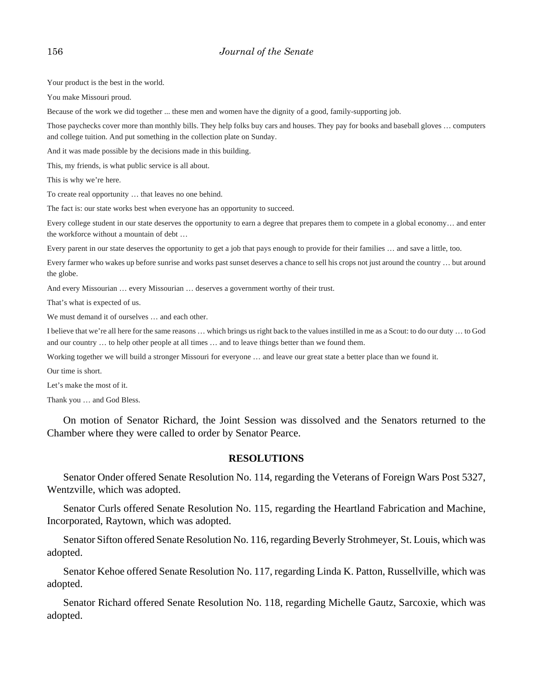Your product is the best in the world.

You make Missouri proud.

Because of the work we did together ... these men and women have the dignity of a good, family-supporting job.

Those paychecks cover more than monthly bills. They help folks buy cars and houses. They pay for books and baseball gloves … computers and college tuition. And put something in the collection plate on Sunday.

And it was made possible by the decisions made in this building.

This, my friends, is what public service is all about.

This is why we're here.

To create real opportunity … that leaves no one behind.

The fact is: our state works best when everyone has an opportunity to succeed.

Every college student in our state deserves the opportunity to earn a degree that prepares them to compete in a global economy… and enter the workforce without a mountain of debt …

Every parent in our state deserves the opportunity to get a job that pays enough to provide for their families … and save a little, too.

Every farmer who wakes up before sunrise and works past sunset deserves a chance to sell his crops not just around the country … but around the globe.

And every Missourian … every Missourian … deserves a government worthy of their trust.

That's what is expected of us.

We must demand it of ourselves … and each other.

I believe that we're all here for the same reasons … which brings us right back to the values instilled in me as a Scout: to do our duty … to God and our country … to help other people at all times … and to leave things better than we found them.

Working together we will build a stronger Missouri for everyone … and leave our great state a better place than we found it.

Our time is short.

Let's make the most of it.

Thank you … and God Bless.

On motion of Senator Richard, the Joint Session was dissolved and the Senators returned to the Chamber where they were called to order by Senator Pearce.

## **RESOLUTIONS**

Senator Onder offered Senate Resolution No. 114, regarding the Veterans of Foreign Wars Post 5327, Wentzville, which was adopted.

Senator Curls offered Senate Resolution No. 115, regarding the Heartland Fabrication and Machine, Incorporated, Raytown, which was adopted.

Senator Sifton offered Senate Resolution No. 116, regarding Beverly Strohmeyer, St. Louis, which was adopted.

Senator Kehoe offered Senate Resolution No. 117, regarding Linda K. Patton, Russellville, which was adopted.

Senator Richard offered Senate Resolution No. 118, regarding Michelle Gautz, Sarcoxie, which was adopted.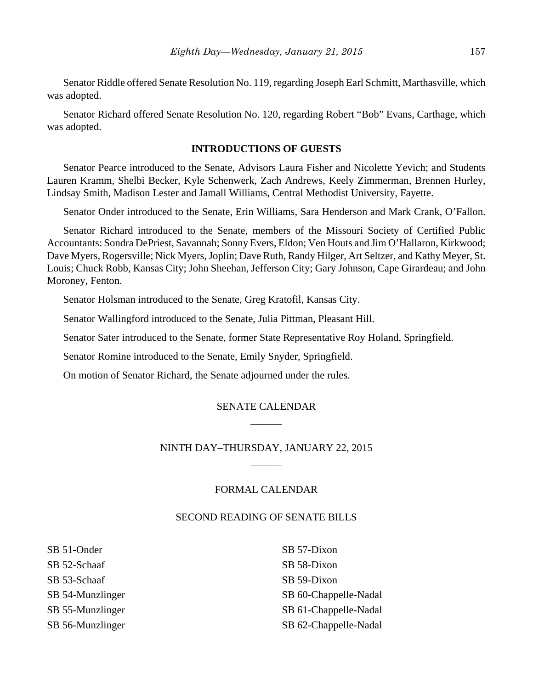Senator Riddle offered Senate Resolution No. 119, regarding Joseph Earl Schmitt, Marthasville, which was adopted.

Senator Richard offered Senate Resolution No. 120, regarding Robert "Bob" Evans, Carthage, which was adopted.

# **INTRODUCTIONS OF GUESTS**

Senator Pearce introduced to the Senate, Advisors Laura Fisher and Nicolette Yevich; and Students Lauren Kramm, Shelbi Becker, Kyle Schenwerk, Zach Andrews, Keely Zimmerman, Brennen Hurley, Lindsay Smith, Madison Lester and Jamall Williams, Central Methodist University, Fayette.

Senator Onder introduced to the Senate, Erin Williams, Sara Henderson and Mark Crank, O'Fallon.

Senator Richard introduced to the Senate, members of the Missouri Society of Certified Public Accountants: Sondra DePriest, Savannah; Sonny Evers, Eldon; Ven Houts and Jim O'Hallaron, Kirkwood; Dave Myers, Rogersville; Nick Myers, Joplin; Dave Ruth, Randy Hilger, Art Seltzer, and Kathy Meyer, St. Louis; Chuck Robb, Kansas City; John Sheehan, Jefferson City; Gary Johnson, Cape Girardeau; and John Moroney, Fenton.

Senator Holsman introduced to the Senate, Greg Kratofil, Kansas City.

Senator Wallingford introduced to the Senate, Julia Pittman, Pleasant Hill.

Senator Sater introduced to the Senate, former State Representative Roy Holand, Springfield.

Senator Romine introduced to the Senate, Emily Snyder, Springfield.

On motion of Senator Richard, the Senate adjourned under the rules.

# SENATE CALENDAR  $\overline{\phantom{a}}$

# NINTH DAY–THURSDAY, JANUARY 22, 2015  $\overline{\phantom{a}}$

# FORMAL CALENDAR

## SECOND READING OF SENATE BILLS

SB 51-Onder SB 52-Schaaf SB 53-Schaaf SB 54-Munzlinger SB 55-Munzlinger SB 56-Munzlinger

SB 57-Dixon SB 58-Dixon SB 59-Dixon SB 60-Chappelle-Nadal SB 61-Chappelle-Nadal SB 62-Chappelle-Nadal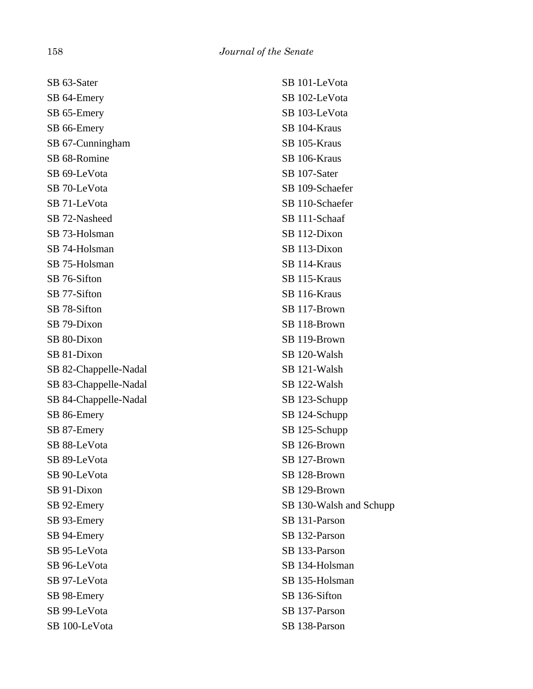SB 63-Sater SB 64-Emery SB 65-Emery SB 66-Emery SB 67-Cunningham SB 68-Romine SB 69-LeVota SB 70-LeVota SB 71-LeVota SB 72-Nasheed SB 73-Holsman SB 74-Holsman SB 75-Holsman SB 76-Sifton SB 77-Sifton SB 78-Sifton SB 79-Dixon SB 80-Dixon SB 81-Dixon SB 82-Chappelle-Nadal SB 83-Chappelle-Nadal SB 84-Chappelle-Nadal SB 86-Emery SB 87-Emery SB 88-LeVota SB 89-LeVota SB 90-LeVota SB 91-Dixon SB 92-Emery SB 93-Emery SB 94-Emery SB 95-LeVota SB 96-LeVota SB 97-LeVota SB 98-Emery SB 99-LeVota SB 100-LeVota

SB 101-LeVota SB 102-LeVota SB 103-LeVota SB 104-Kraus SB 105-Kraus SB 106-Kraus SB 107-Sater SB 109-Schaefer SB 110-Schaefer SB 111-Schaaf SB 112-Dixon SB 113-Dixon SB 114-Kraus SB 115-Kraus SB 116-Kraus SB 117-Brown SB 118-Brown SB 119-Brown SB 120-Walsh SB 121-Walsh SB 122-Walsh SB 123-Schupp SB 124-Schupp SB 125-Schupp SB 126-Brown SB 127-Brown SB 128-Brown SB 129-Brown SB 130-Walsh and Schupp SB 131-Parson SB 132-Parson SB 133-Parson SB 134-Holsman SB 135-Holsman SB 136-Sifton SB 137-Parson SB 138-Parson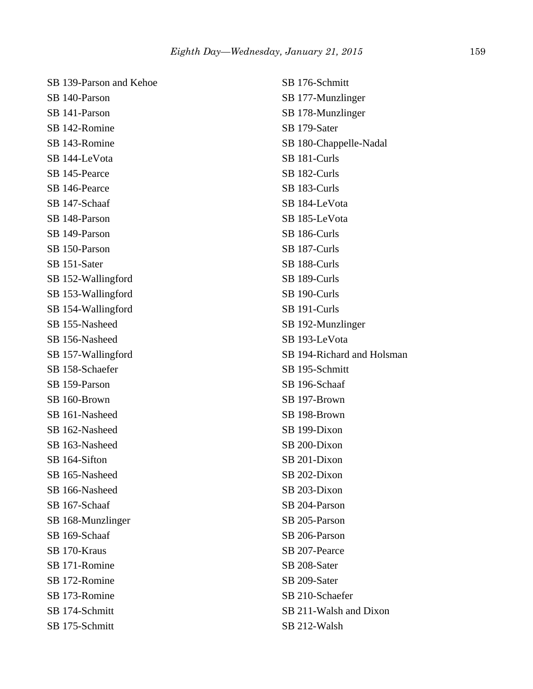| SB 139-Parson and Kehoe | SB 176-Schmitt             |
|-------------------------|----------------------------|
| SB 140-Parson           | SB 177-Munzlinger          |
| SB 141-Parson           | SB 178-Munzlinger          |
| SB 142-Romine           | SB 179-Sater               |
| SB 143-Romine           | SB 180-Chappelle-Nadal     |
| SB 144-LeVota           | SB 181-Curls               |
| SB 145-Pearce           | SB 182-Curls               |
| SB 146-Pearce           | SB 183-Curls               |
| SB 147-Schaaf           | SB 184-LeVota              |
| SB 148-Parson           | SB 185-LeVota              |
| SB 149-Parson           | SB 186-Curls               |
| SB 150-Parson           | SB 187-Curls               |
| SB 151-Sater            | SB 188-Curls               |
| SB 152-Wallingford      | SB 189-Curls               |
| SB 153-Wallingford      | SB 190-Curls               |
| SB 154-Wallingford      | SB 191-Curls               |
| SB 155-Nasheed          | SB 192-Munzlinger          |
| SB 156-Nasheed          | SB 193-LeVota              |
| SB 157-Wallingford      | SB 194-Richard and Holsman |
| SB 158-Schaefer         | SB 195-Schmitt             |
| SB 159-Parson           | SB 196-Schaaf              |
| SB 160-Brown            | SB 197-Brown               |
| SB 161-Nasheed          | SB 198-Brown               |
| SB 162-Nasheed          | SB 199-Dixon               |
| SB 163-Nasheed          | SB 200-Dixon               |
| SB 164-Sifton           | SB 201-Dixon               |
| SB 165-Nasheed          | SB 202-Dixon               |
| SB 166-Nasheed          | SB 203-Dixon               |
| SB 167-Schaaf           | SB 204-Parson              |
| SB 168-Munzlinger       | SB 205-Parson              |
| SB 169-Schaaf           | SB 206-Parson              |
| SB 170-Kraus            | SB 207-Pearce              |
| SB 171-Romine           | SB 208-Sater               |
| SB 172-Romine           | SB 209-Sater               |
| SB 173-Romine           | SB 210-Schaefer            |
| SB 174-Schmitt          | SB 211-Walsh and Dixon     |
| SB 175-Schmitt          | SB 212-Walsh               |
|                         |                            |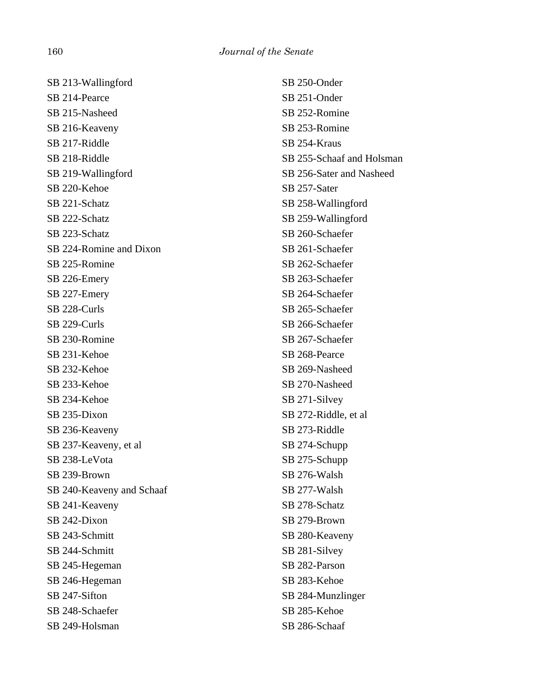SB 213-Wallingford SB 214-Pearce SB 215-Nasheed SB 216-Keaveny SB 217-Riddle SB 218-Riddle SB 219-Wallingford SB 220-Kehoe SB 221-Schatz SB 222-Schatz SB 223-Schatz SB 224-Romine and Dixon SB 225-Romine SB 226-Emery SB 227-Emery SB 228-Curls SB 229-Curls SB 230-Romine SB 231-Kehoe SB 232-Kehoe SB 233-Kehoe SB 234-Kehoe SB 235-Dixon SB 236-Keaveny SB 237-Keaveny, et al SB 238-LeVota SB 239-Brown SB 240-Keaveny and Schaaf SB 241-Keaveny SB 242-Dixon SB 243-Schmitt SB 244-Schmitt SB 245-Hegeman SB 246-Hegeman SB 247-Sifton SB 248-Schaefer SB 249-Holsman

SB 250-Onder SB 251-Onder SB 252-Romine SB 253-Romine SB 254-Kraus SB 255-Schaaf and Holsman SB 256-Sater and Nasheed SB 257-Sater SB 258-Wallingford SB 259-Wallingford SB 260-Schaefer SB 261-Schaefer SB 262-Schaefer SB 263-Schaefer SB 264-Schaefer SB 265-Schaefer SB 266-Schaefer SB 267-Schaefer SB 268-Pearce SB 269-Nasheed SB 270-Nasheed SB 271-Silvey SB 272-Riddle, et al SB 273-Riddle SB 274-Schupp SB 275-Schupp SB 276-Walsh SB 277-Walsh SB 278-Schatz SB 279-Brown SB 280-Keaveny SB 281-Silvey SB 282-Parson SB 283-Kehoe SB 284-Munzlinger SB 285-Kehoe SB 286-Schaaf